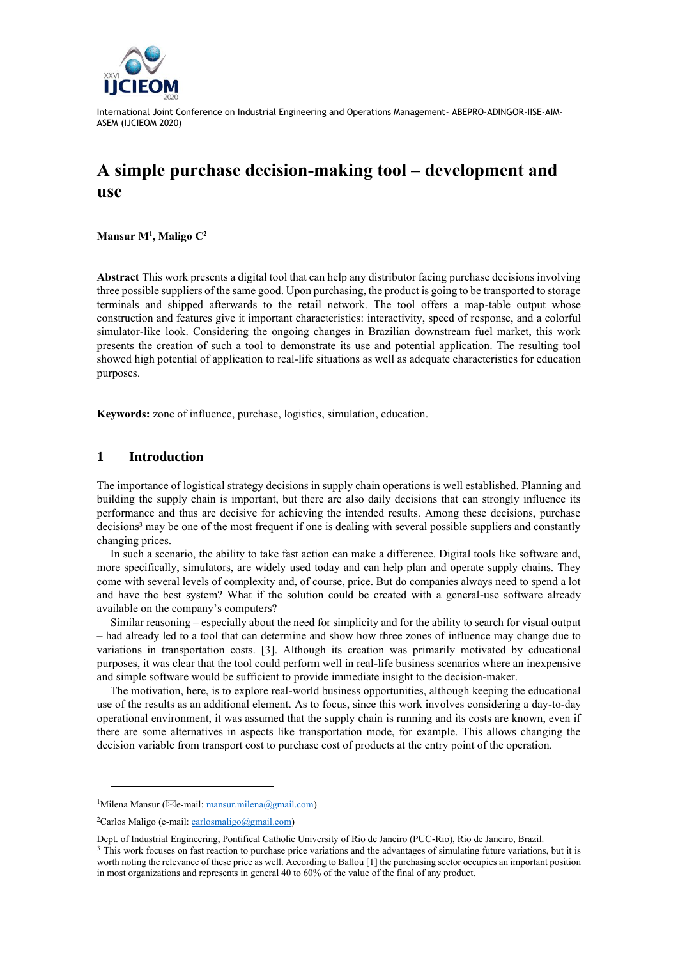

# **A simple purchase decision-making tool – development and use**

**Mansur M<sup>1</sup> , Maligo C<sup>2</sup>**

**Abstract** This work presents a digital tool that can help any distributor facing purchase decisions involving three possible suppliers of the same good. Upon purchasing, the product is going to be transported to storage terminals and shipped afterwards to the retail network. The tool offers a map-table output whose construction and features give it important characteristics: interactivity, speed of response, and a colorful simulator-like look. Considering the ongoing changes in Brazilian downstream fuel market, this work presents the creation of such a tool to demonstrate its use and potential application. The resulting tool showed high potential of application to real-life situations as well as adequate characteristics for education purposes.

**Keywords:** zone of influence, purchase, logistics, simulation, education.

# **1 Introduction**

The importance of logistical strategy decisions in supply chain operations is well established. Planning and building the supply chain is important, but there are also daily decisions that can strongly influence its performance and thus are decisive for achieving the intended results. Among these decisions, purchase decisions<sup>3</sup> may be one of the most frequent if one is dealing with several possible suppliers and constantly changing prices.

In such a scenario, the ability to take fast action can make a difference. Digital tools like software and, more specifically, simulators, are widely used today and can help plan and operate supply chains. They come with several levels of complexity and, of course, price. But do companies always need to spend a lot and have the best system? What if the solution could be created with a general-use software already available on the company's computers?

Similar reasoning – especially about the need for simplicity and for the ability to search for visual output – had already led to a tool that can determine and show how three zones of influence may change due to variations in transportation costs. [3]. Although its creation was primarily motivated by educational purposes, it was clear that the tool could perform well in real-life business scenarios where an inexpensive and simple software would be sufficient to provide immediate insight to the decision-maker.

The motivation, here, is to explore real-world business opportunities, although keeping the educational use of the results as an additional element. As to focus, since this work involves considering a day-to-day operational environment, it was assumed that the supply chain is running and its costs are known, even if there are some alternatives in aspects like transportation mode, for example. This allows changing the decision variable from transport cost to purchase cost of products at the entry point of the operation.

<sup>&</sup>lt;sup>1</sup>Milena Mansur ( $\boxtimes$ e-mail: [mansur.milena@gmail.com\)](mailto:mansur.milena@gmail.com)

 ${}^{2}$ Carlos Maligo (e-mail[: carlosmaligo@gmail.com\)](mailto:carlosmaligo@gmail.com)

Dept. of Industrial Engineering, Pontifical Catholic University of Rio de Janeiro (PUC-Rio), Rio de Janeiro, Brazil.

 $3$  This work focuses on fast reaction to purchase price variations and the advantages of simulating future variations, but it is worth noting the relevance of these price as well. According to Ballou [1] the purchasing sector occupies an important position in most organizations and represents in general 40 to 60% of the value of the final of any product.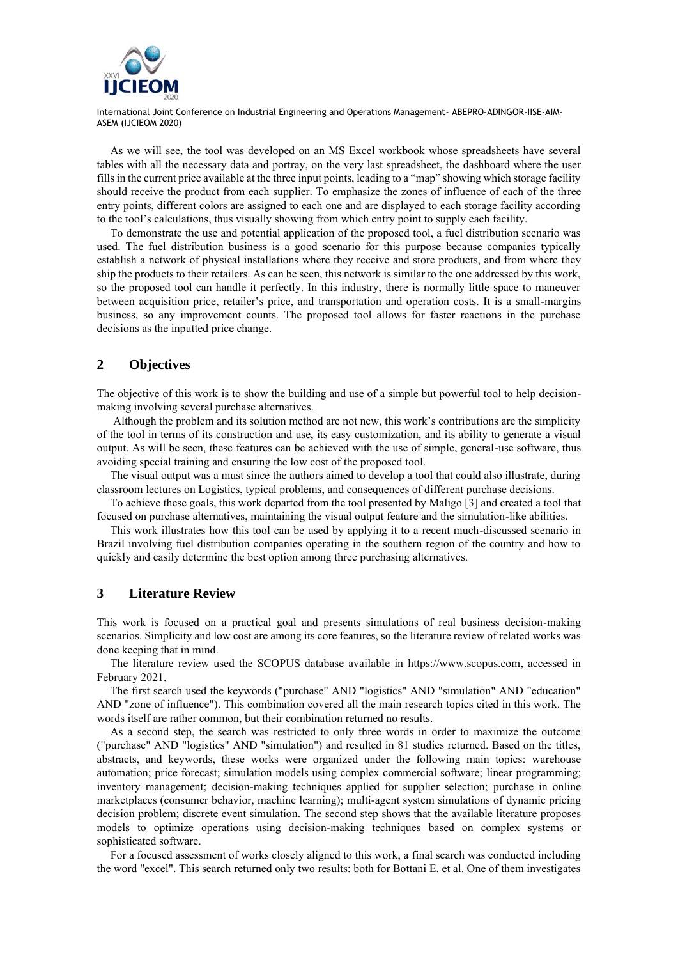

As we will see, the tool was developed on an MS Excel workbook whose spreadsheets have several tables with all the necessary data and portray, on the very last spreadsheet, the dashboard where the user fills in the current price available at the three input points, leading to a "map" showing which storage facility should receive the product from each supplier. To emphasize the zones of influence of each of the three entry points, different colors are assigned to each one and are displayed to each storage facility according to the tool's calculations, thus visually showing from which entry point to supply each facility.

To demonstrate the use and potential application of the proposed tool, a fuel distribution scenario was used. The fuel distribution business is a good scenario for this purpose because companies typically establish a network of physical installations where they receive and store products, and from where they ship the products to their retailers. As can be seen, this network is similar to the one addressed by this work, so the proposed tool can handle it perfectly. In this industry, there is normally little space to maneuver between acquisition price, retailer's price, and transportation and operation costs. It is a small-margins business, so any improvement counts. The proposed tool allows for faster reactions in the purchase decisions as the inputted price change.

#### **2 Objectives**

The objective of this work is to show the building and use of a simple but powerful tool to help decisionmaking involving several purchase alternatives.

Although the problem and its solution method are not new, this work's contributions are the simplicity of the tool in terms of its construction and use, its easy customization, and its ability to generate a visual output. As will be seen, these features can be achieved with the use of simple, general-use software, thus avoiding special training and ensuring the low cost of the proposed tool.

The visual output was a must since the authors aimed to develop a tool that could also illustrate, during classroom lectures on Logistics, typical problems, and consequences of different purchase decisions.

To achieve these goals, this work departed from the tool presented by Maligo [3] and created a tool that focused on purchase alternatives, maintaining the visual output feature and the simulation-like abilities.

This work illustrates how this tool can be used by applying it to a recent much-discussed scenario in Brazil involving fuel distribution companies operating in the southern region of the country and how to quickly and easily determine the best option among three purchasing alternatives.

## **3 Literature Review**

This work is focused on a practical goal and presents simulations of real business decision-making scenarios. Simplicity and low cost are among its core features, so the literature review of related works was done keeping that in mind.

The literature review used the SCOPUS database available in [https://www.scopus.com,](https://www.scopus.com/) accessed in February 2021.

The first search used the keywords ("purchase" AND "logistics" AND "simulation" AND "education" AND "zone of influence"). This combination covered all the main research topics cited in this work. The words itself are rather common, but their combination returned no results.

As a second step, the search was restricted to only three words in order to maximize the outcome ("purchase" AND "logistics" AND "simulation") and resulted in 81 studies returned. Based on the titles, abstracts, and keywords, these works were organized under the following main topics: warehouse automation; price forecast; simulation models using complex commercial software; linear programming; inventory management; decision-making techniques applied for supplier selection; purchase in online marketplaces (consumer behavior, machine learning); multi-agent system simulations of dynamic pricing decision problem; discrete event simulation. The second step shows that the available literature proposes models to optimize operations using decision-making techniques based on complex systems or sophisticated software.

For a focused assessment of works closely aligned to this work, a final search was conducted including the word "excel". This search returned only two results: both for Bottani E. et al. One of them investigates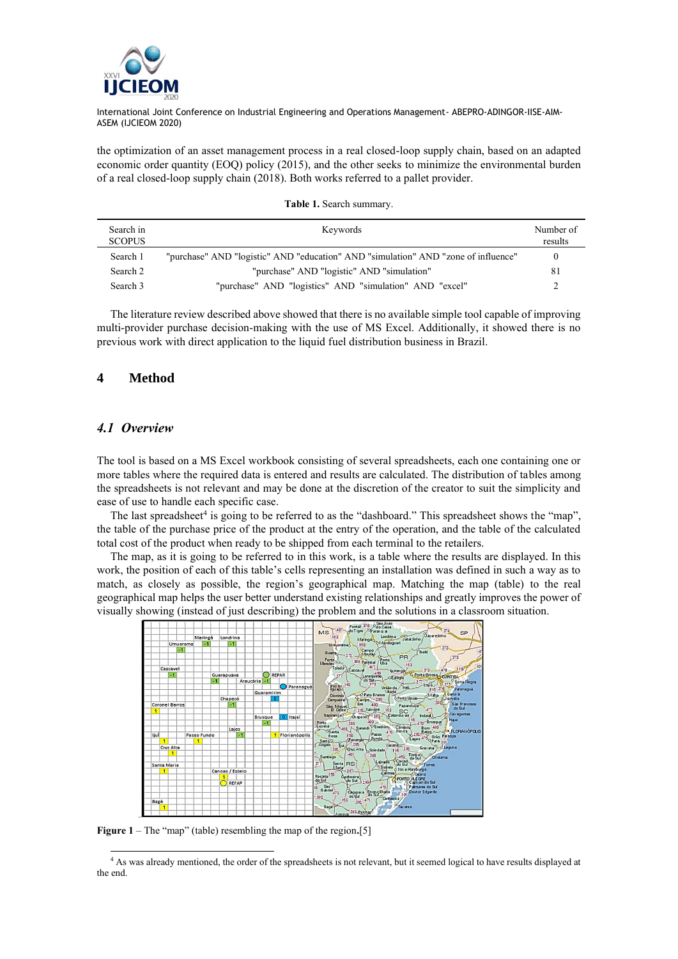

the optimization of an asset management process in a real closed-loop supply chain, based on an adapted economic order quantity (EOQ) policy (2015), and the other seeks to minimize the environmental burden of a real closed-loop supply chain (2018). Both works referred to a pallet provider.

| Table 1. Search summary. |  |
|--------------------------|--|
|--------------------------|--|

| Search in<br><b>SCOPUS</b> | Keywords                                                                           | Number of<br>results |
|----------------------------|------------------------------------------------------------------------------------|----------------------|
| Search 1                   | "purchase" AND "logistic" AND "education" AND "simulation" AND "zone of influence" | $\theta$             |
| Search 2                   | "purchase" AND "logistic" AND "simulation"                                         | -81                  |
| Search 3                   | "purchase" AND "logistics" AND "simulation" AND "excel"                            |                      |

The literature review described above showed that there is no available simple tool capable of improving multi-provider purchase decision-making with the use of MS Excel. Additionally, it showed there is no previous work with direct application to the liquid fuel distribution business in Brazil.

## **4 Method**

## *4.1 Overview*

The tool is based on a MS Excel workbook consisting of several spreadsheets, each one containing one or more tables where the required data is entered and results are calculated. The distribution of tables among the spreadsheets is not relevant and may be done at the discretion of the creator to suit the simplicity and ease of use to handle each specific case.

The last spreadsheet<sup>4</sup> is going to be referred to as the "dashboard." This spreadsheet shows the "map", the table of the purchase price of the product at the entry of the operation, and the table of the calculated total cost of the product when ready to be shipped from each terminal to the retailers.

The map, as it is going to be referred to in this work, is a table where the results are displayed. In this work, the position of each of this table's cells representing an installation was defined in such a way as to match, as closely as possible, the region's geographical map. Matching the map (table) to the real geographical map helps the user better understand existing relationships and greatly improves the power of visually showing (instead of just describing) the problem and the solutions in a classroom situation.



**Figure 1** – The "map" (table) resembling the map of the region**.**[5]

<sup>4</sup> As was already mentioned, the order of the spreadsheets is not relevant, but it seemed logical to have results displayed at the end.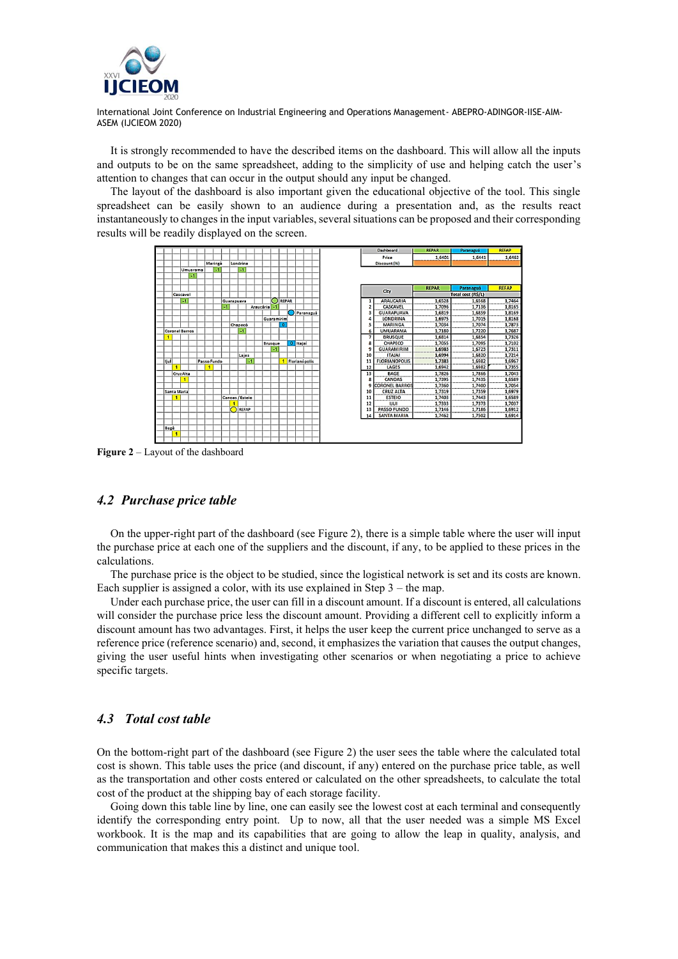

It is strongly recommended to have the described items on the dashboard. This will allow all the inputs and outputs to be on the same spreadsheet, adding to the simplicity of use and helping catch the user's attention to changes that can occur in the output should any input be changed.

The layout of the dashboard is also important given the educational objective of the tool. This single spreadsheet can be easily shown to an audience during a presentation and, as the results react instantaneously to changes in the input variables, several situations can be proposed and their corresponding results will be readily displayed on the screen.



**Figure 2** – Layout of the dashboard

#### *4.2 Purchase price table*

On the upper-right part of the dashboard (see Figure 2), there is a simple table where the user will input the purchase price at each one of the suppliers and the discount, if any, to be applied to these prices in the calculations.

The purchase price is the object to be studied, since the logistical network is set and its costs are known. Each supplier is assigned a color, with its use explained in Step  $3$  – the map.

Under each purchase price, the user can fill in a discount amount. If a discount is entered, all calculations will consider the purchase price less the discount amount. Providing a different cell to explicitly inform a discount amount has two advantages. First, it helps the user keep the current price unchanged to serve as a reference price (reference scenario) and, second, it emphasizes the variation that causes the output changes, giving the user useful hints when investigating other scenarios or when negotiating a price to achieve specific targets.

# *4.3 Total cost table*

On the bottom-right part of the dashboard (see Figure 2) the user sees the table where the calculated total cost is shown. This table uses the price (and discount, if any) entered on the purchase price table, as well as the transportation and other costs entered or calculated on the other spreadsheets, to calculate the total cost of the product at the shipping bay of each storage facility.

Going down this table line by line, one can easily see the lowest cost at each terminal and consequently identify the corresponding entry point. Up to now, all that the user needed was a simple MS Excel workbook. It is the map and its capabilities that are going to allow the leap in quality, analysis, and communication that makes this a distinct and unique tool.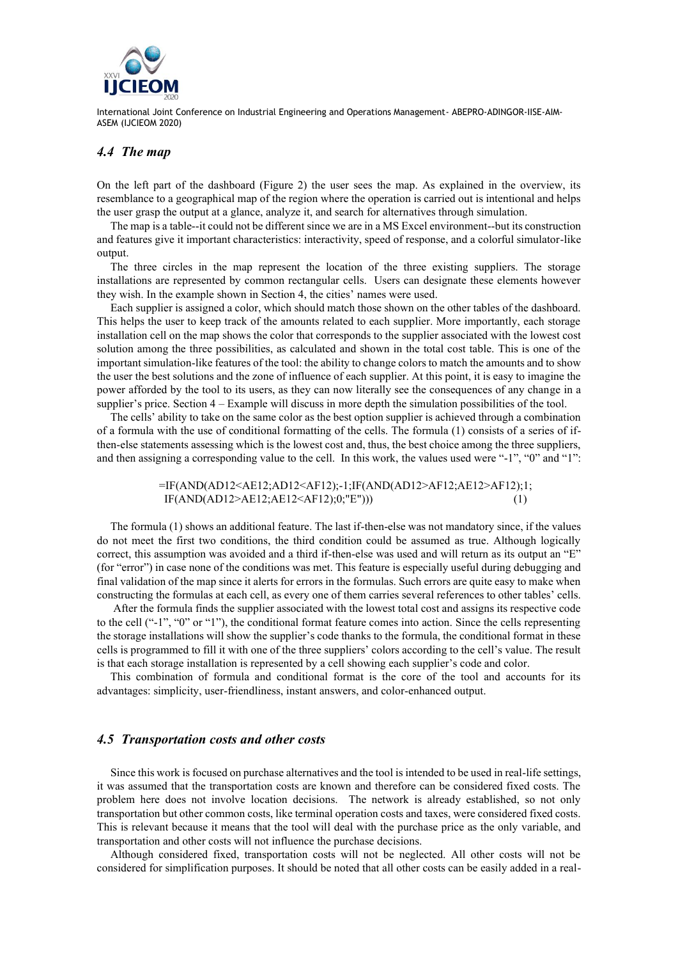

## *4.4 The map*

On the left part of the dashboard (Figure 2) the user sees the map. As explained in the overview, its resemblance to a geographical map of the region where the operation is carried out is intentional and helps the user grasp the output at a glance, analyze it, and search for alternatives through simulation.

The map is a table--it could not be different since we are in a MS Excel environment--but its construction and features give it important characteristics: interactivity, speed of response, and a colorful simulator-like output.

The three circles in the map represent the location of the three existing suppliers. The storage installations are represented by common rectangular cells. Users can designate these elements however they wish. In the example shown in Section 4, the cities' names were used.

Each supplier is assigned a color, which should match those shown on the other tables of the dashboard. This helps the user to keep track of the amounts related to each supplier. More importantly, each storage installation cell on the map shows the color that corresponds to the supplier associated with the lowest cost solution among the three possibilities, as calculated and shown in the total cost table. This is one of the important simulation-like features of the tool: the ability to change colors to match the amounts and to show the user the best solutions and the zone of influence of each supplier. At this point, it is easy to imagine the power afforded by the tool to its users, as they can now literally see the consequences of any change in a supplier's price. Section 4 – Example will discuss in more depth the simulation possibilities of the tool.

The cells' ability to take on the same color as the best option supplier is achieved through a combination of a formula with the use of conditional formatting of the cells. The formula (1) consists of a series of ifthen-else statements assessing which is the lowest cost and, thus, the best choice among the three suppliers, and then assigning a corresponding value to the cell. In this work, the values used were "-1", "0" and "1":

> =IF(AND(AD12<AE12;AD12<AF12);-1;IF(AND(AD12>AF12;AE12>AF12);1; IF(AND(AD12>AE12;AE12<AF12);0;"E"))) (1)

The formula (1) shows an additional feature. The last if-then-else was not mandatory since, if the values do not meet the first two conditions, the third condition could be assumed as true. Although logically correct, this assumption was avoided and a third if-then-else was used and will return as its output an "E" (for "error") in case none of the conditions was met. This feature is especially useful during debugging and final validation of the map since it alerts for errors in the formulas. Such errors are quite easy to make when constructing the formulas at each cell, as every one of them carries several references to other tables' cells.

After the formula finds the supplier associated with the lowest total cost and assigns its respective code to the cell ("-1", "0" or "1"), the conditional format feature comes into action. Since the cells representing the storage installations will show the supplier's code thanks to the formula, the conditional format in these cells is programmed to fill it with one of the three suppliers' colors according to the cell's value. The result is that each storage installation is represented by a cell showing each supplier's code and color.

This combination of formula and conditional format is the core of the tool and accounts for its advantages: simplicity, user-friendliness, instant answers, and color-enhanced output.

#### *4.5 Transportation costs and other costs*

Since this work is focused on purchase alternatives and the tool is intended to be used in real-life settings, it was assumed that the transportation costs are known and therefore can be considered fixed costs. The problem here does not involve location decisions. The network is already established, so not only transportation but other common costs, like terminal operation costs and taxes, were considered fixed costs. This is relevant because it means that the tool will deal with the purchase price as the only variable, and transportation and other costs will not influence the purchase decisions.

Although considered fixed, transportation costs will not be neglected. All other costs will not be considered for simplification purposes. It should be noted that all other costs can be easily added in a real-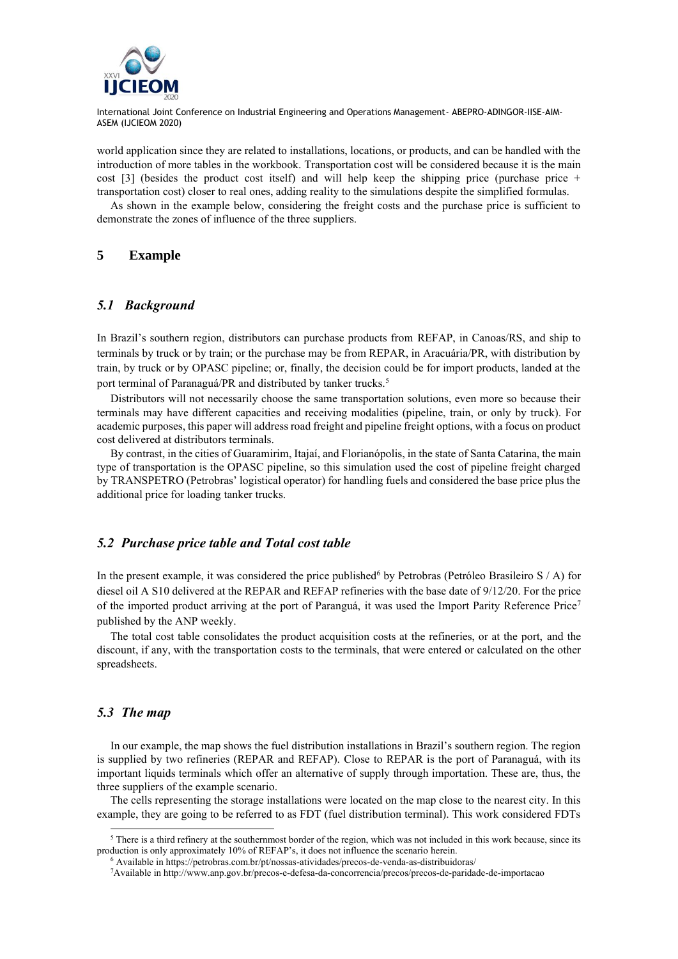

world application since they are related to installations, locations, or products, and can be handled with the introduction of more tables in the workbook. Transportation cost will be considered because it is the main cost  $\lceil 3 \rceil$  (besides the product cost itself) and will help keep the shipping price (purchase price + transportation cost) closer to real ones, adding reality to the simulations despite the simplified formulas.

As shown in the example below, considering the freight costs and the purchase price is sufficient to demonstrate the zones of influence of the three suppliers.

## **5 Example**

#### *5.1 Background*

In Brazil's southern region, distributors can purchase products from REFAP, in Canoas/RS, and ship to terminals by truck or by train; or the purchase may be from REPAR, in Aracuária/PR, with distribution by train, by truck or by OPASC pipeline; or, finally, the decision could be for import products, landed at the port terminal of Paranaguá/PR and distributed by tanker trucks.<sup>5</sup>

Distributors will not necessarily choose the same transportation solutions, even more so because their terminals may have different capacities and receiving modalities (pipeline, train, or only by truck). For academic purposes, this paper will address road freight and pipeline freight options, with a focus on product cost delivered at distributors terminals.

By contrast, in the cities of Guaramirim, Itajaí, and Florianópolis, in the state of Santa Catarina, the main type of transportation is the OPASC pipeline, so this simulation used the cost of pipeline freight charged by TRANSPETRO (Petrobras' logistical operator) for handling fuels and considered the base price plus the additional price for loading tanker trucks.

#### *5.2 Purchase price table and Total cost table*

In the present example, it was considered the price published<sup>6</sup> by Petrobras (Petróleo Brasileiro S  $\land$  A) for diesel oil A S10 delivered at the REPAR and REFAP refineries with the base date of 9/12/20. For the price of the imported product arriving at the port of Paranguá, it was used the Import Parity Reference Price<sup>7</sup> published by the ANP weekly.

The total cost table consolidates the product acquisition costs at the refineries, or at the port, and the discount, if any, with the transportation costs to the terminals, that were entered or calculated on the other spreadsheets.

#### *5.3 The map*

In our example, the map shows the fuel distribution installations in Brazil's southern region. The region is supplied by two refineries (REPAR and REFAP). Close to REPAR is the port of Paranaguá, with its important liquids terminals which offer an alternative of supply through importation. These are, thus, the three suppliers of the example scenario.

The cells representing the storage installations were located on the map close to the nearest city. In this example, they are going to be referred to as FDT (fuel distribution terminal). This work considered FDTs

<sup>&</sup>lt;sup>5</sup> There is a third refinery at the southernmost border of the region, which was not included in this work because, since its production is only approximately 10% of REFAP's, it does not influence the scenario herein.

<sup>6</sup> Available in https://petrobras.com.br/pt/nossas-atividades/precos-de-venda-as-distribuidoras/

<sup>7</sup>Available i[n http://www.anp.gov.br/precos-e-defesa-da-concorrencia/precos/precos-de-paridade-de-importacao](http://www.anp.gov.br/precos-e-defesa-da-concorrencia/precos/precos-de-paridade-de-importacao)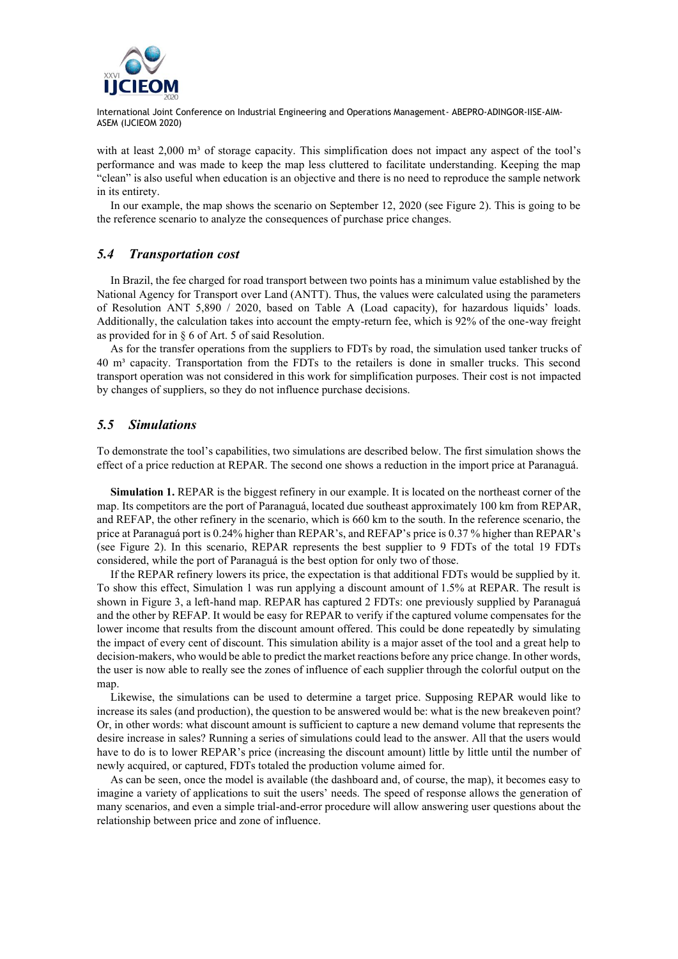

with at least  $2,000 \text{ m}^3$  of storage capacity. This simplification does not impact any aspect of the tool's performance and was made to keep the map less cluttered to facilitate understanding. Keeping the map "clean" is also useful when education is an objective and there is no need to reproduce the sample network in its entirety.

In our example, the map shows the scenario on September 12, 2020 (see Figure 2). This is going to be the reference scenario to analyze the consequences of purchase price changes.

## *5.4 Transportation cost*

In Brazil, the fee charged for road transport between two points has a minimum value established by the National Agency for Transport over Land (ANTT). Thus, the values were calculated using the parameters of Resolution ANT 5,890 / 2020, based on Table A (Load capacity), for hazardous liquids' loads. Additionally, the calculation takes into account the empty-return fee, which is 92% of the one-way freight as provided for in § 6 of Art. 5 of said Resolution.

As for the transfer operations from the suppliers to FDTs by road, the simulation used tanker trucks of 40 m³ capacity. Transportation from the FDTs to the retailers is done in smaller trucks. This second transport operation was not considered in this work for simplification purposes. Their cost is not impacted by changes of suppliers, so they do not influence purchase decisions.

## *5.5 Simulations*

To demonstrate the tool's capabilities, two simulations are described below. The first simulation shows the effect of a price reduction at REPAR. The second one shows a reduction in the import price at Paranaguá.

**Simulation 1. REPAR** is the biggest refinery in our example. It is located on the northeast corner of the map. Its competitors are the port of Paranaguá, located due southeast approximately 100 km from REPAR, and REFAP, the other refinery in the scenario, which is 660 km to the south. In the reference scenario, the price at Paranaguá port is 0.24% higher than REPAR's, and REFAP's price is 0.37 % higher than REPAR's (see Figure 2). In this scenario, REPAR represents the best supplier to 9 FDTs of the total 19 FDTs considered, while the port of Paranaguá is the best option for only two of those.

If the REPAR refinery lowers its price, the expectation is that additional FDTs would be supplied by it. To show this effect, Simulation 1 was run applying a discount amount of 1.5% at REPAR. The result is shown in Figure 3, a left-hand map. REPAR has captured 2 FDTs: one previously supplied by Paranaguá and the other by REFAP. It would be easy for REPAR to verify if the captured volume compensates for the lower income that results from the discount amount offered. This could be done repeatedly by simulating the impact of every cent of discount. This simulation ability is a major asset of the tool and a great help to decision-makers, who would be able to predict the market reactions before any price change. In other words, the user is now able to really see the zones of influence of each supplier through the colorful output on the map.

Likewise, the simulations can be used to determine a target price. Supposing REPAR would like to increase its sales (and production), the question to be answered would be: what is the new breakeven point? Or, in other words: what discount amount is sufficient to capture a new demand volume that represents the desire increase in sales? Running a series of simulations could lead to the answer. All that the users would have to do is to lower REPAR's price (increasing the discount amount) little by little until the number of newly acquired, or captured, FDTs totaled the production volume aimed for.

As can be seen, once the model is available (the dashboard and, of course, the map), it becomes easy to imagine a variety of applications to suit the users' needs. The speed of response allows the generation of many scenarios, and even a simple trial-and-error procedure will allow answering user questions about the relationship between price and zone of influence.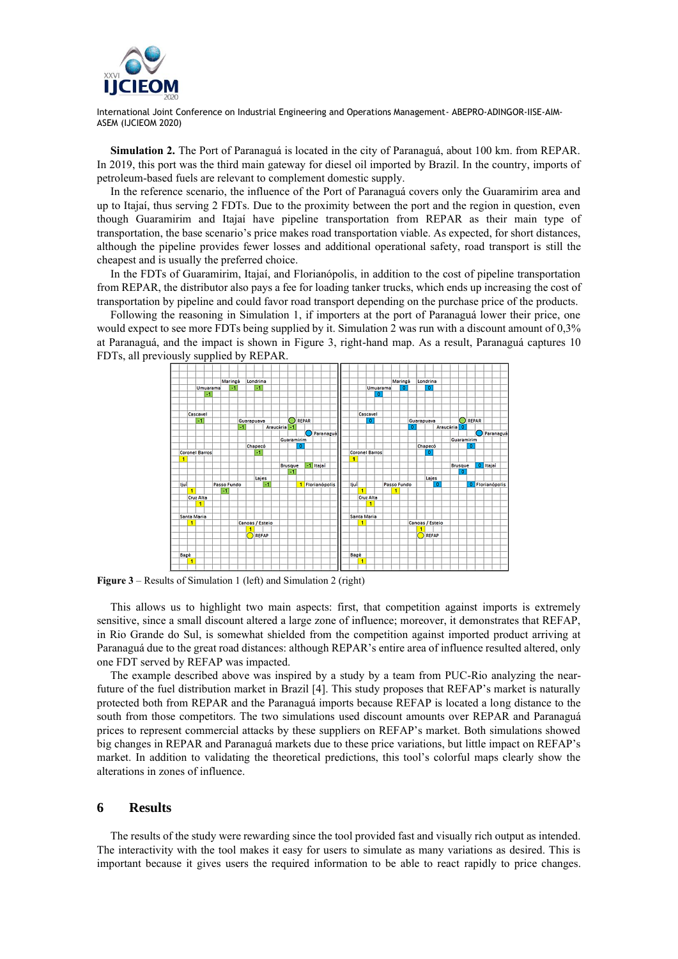

**Simulation 2.** The Port of Paranaguá is located in the city of Paranaguá, about 100 km. from REPAR. In 2019, this port was the third main gateway for diesel oil imported by Brazil. In the country, imports of petroleum-based fuels are relevant to complement domestic supply.

In the reference scenario, the influence of the Port of Paranaguá covers only the Guaramirim area and up to Itajaí, thus serving 2 FDTs. Due to the proximity between the port and the region in question, even though Guaramirim and Itajaí have pipeline transportation from REPAR as their main type of transportation, the base scenario's price makes road transportation viable. As expected, for short distances, although the pipeline provides fewer losses and additional operational safety, road transport is still the cheapest and is usually the preferred choice.

In the FDTs of Guaramirim, Itajaí, and Florianópolis, in addition to the cost of pipeline transportation from REPAR, the distributor also pays a fee for loading tanker trucks, which ends up increasing the cost of transportation by pipeline and could favor road transport depending on the purchase price of the products.

Following the reasoning in Simulation 1, if importers at the port of Paranaguá lower their price, one would expect to see more FDTs being supplied by it. Simulation 2 was run with a discount amount of 0,3% at Paranaguá, and the impact is shown in Figure 3, right-hand map. As a result, Paranaguá captures 10 FDTs, all previously supplied by REPAR.



**Figure 3** – Results of Simulation 1 (left) and Simulation 2 (right)

This allows us to highlight two main aspects: first, that competition against imports is extremely sensitive, since a small discount altered a large zone of influence; moreover, it demonstrates that REFAP, in Rio Grande do Sul, is somewhat shielded from the competition against imported product arriving at Paranaguá due to the great road distances: although REPAR's entire area of influence resulted altered, only one FDT served by REFAP was impacted.

The example described above was inspired by a study by a team from PUC-Rio analyzing the nearfuture of the fuel distribution market in Brazil [4]. This study proposes that REFAP's market is naturally protected both from REPAR and the Paranaguá imports because REFAP is located a long distance to the south from those competitors. The two simulations used discount amounts over REPAR and Paranaguá prices to represent commercial attacks by these suppliers on REFAP's market. Both simulations showed big changes in REPAR and Paranaguá markets due to these price variations, but little impact on REFAP's market. In addition to validating the theoretical predictions, this tool's colorful maps clearly show the alterations in zones of influence.

#### **6 Results**

The results of the study were rewarding since the tool provided fast and visually rich output as intended. The interactivity with the tool makes it easy for users to simulate as many variations as desired. This is important because it gives users the required information to be able to react rapidly to price changes.